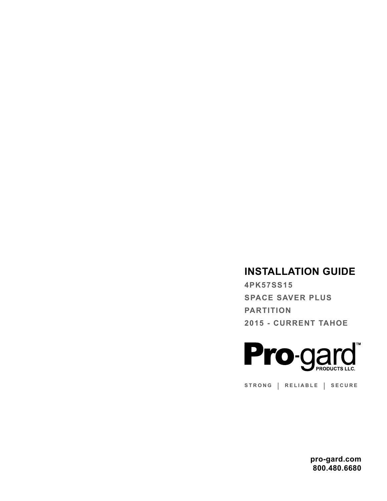# **INSTALLATION GUIDE**

**4PK57SS15 SPACE SAVER PLUS PARTITION 2015 - CURRENT TAHOE**



**STRONG | RELIABLE | SECURE**

**pro-gard.com 800.480.6680**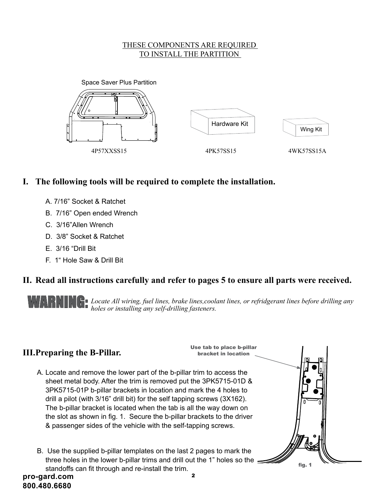#### THESE COMPONENTS ARE REQUIRED TO INSTALL THE PARTITION 1 2



# **I. The following tools will be required to complete the installation.**

- A. 7/16" Socket & Ratchet
- B. 7/16" Open ended Wrench
- C. 3/16"Allen Wrench
- D. 3/8" Socket & Ratchet
- E. 3/16 "Drill Bit
- F. 1" Hole Saw & Drill Bit  $\Gamma$ . I fluit Saw & Dilli Dit

# **II. Read all instructions carefully and refer to pages 5 to ensure all parts were received.**

WARNING: *Locate All wiring, fuel lines, brake lines,coolant lines, or refridgerant lines before drilling any holes or installing any self-drilling fasteners. holes or installing any self-drilling fasteners.*

# **III.Preparing the B-Pillar.**



fig. 1

- A. Locate and remove the lower part of the b-pillar trim to access the sheet metal body. After the trim is removed put the 3PK5715-01D & 3PK5715-01P b-pillar brackets in location and mark the 4 holes to drill a pilot (with 3/16" drill bit) for the self tapping screws (3X162). The b-pillar bracket is located when the tab is all the way down on the slot as shown in fig. 1. Secure the b-pillar brackets to the driver & passenger sides of the vehicle with the self-tapping screws.
- **pro-gard.com** <sup>2</sup> B. Use the supplied b-pillar templates on the last 2 pages to mark the  $\frac{1}{2}$ three holes in the lower b-pillar trims and drill out the 1" holes so the standoffs can fit through and re-install the trim.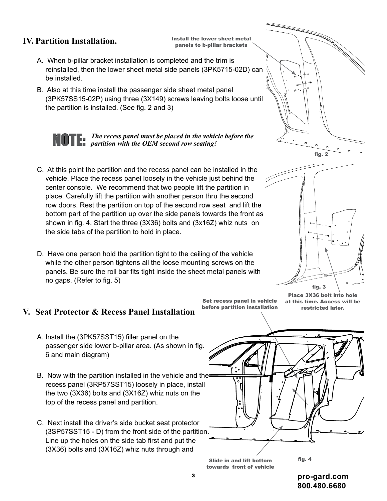### **IV. Partition Installation.**

Install the lower sheet metal panels to b-pillar brackets

- A. When b-pillar bracket installation is completed and the trim is reinstalled, then the lower sheet metal side panels (3PK5715-02D) can be installed.
- B. Also at this time install the passenger side sheet metal panel (3PK57SS15-02P) using three (3X149) screws leaving bolts loose until the partition is installed. (See fig. 2 and 3)

NOTE:

*The recess panel must be placed in the vehicle before the partition with the OEM second row seating!* 4

- C. At this point the partition and the recess panel can be installed in the vehicle. Place the recess panel loosely in the vehicle just behind the center console. We recommend that two people lift the partition in place. Carefully lift the partition with another person thru the second row doors. Rest the partition on top of the second row seat and lift the bottom part of the partition up over the side panels towards the front as  $\|\Box\subset\Box$ shown in fig. 4. Start the three (3X36) bolts and (3x16Z) whiz nuts on the side tabs of the partition to hold in place.
- D. Have one person hold the partition tight to the ceiling of the vehicle while the other person tightens all the loose mounting screws on the  $\|\;\| \;\|\;\|\;\|\;\|$ panels. Be sure the roll bar fits tight inside the sheet metal panels with no gaps. (Refer to fig. 5)  $\mathcal{D}$

#### **V. Seat Protector & Recess Panel Installation**

- A. Install the (3PK57SST15) filler panel on the 6 and main diagram)
- B. Now with the partition installed in the vehicle and the recess panel (3RP57SST15) loosely in place, install the two (3X36) bolts and (3X16Z) whiz nuts on the top of the recess panel and partition.
- C. Next install the driver's side bucket seat protector (3SP57SST15 - D) from the front side of the partition. Line up the holes on the side tab first and put the (3X36) bolts and (3X16Z) whiz nuts through and

 $\cdot$  before partition installation the restricted later. Set recess panel in vehicle





Place 3X36 bolt into hole at this time. Access will be restricted later.

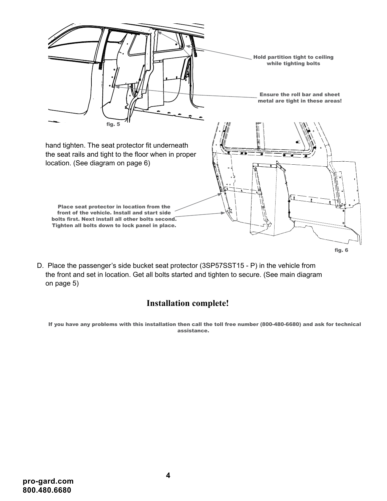

D. Place the passenger's side bucket seat protector (3SP57SST15 - P) in the vehicle from the front and set in location. Get all bolts started and tighten to secure. (See main diagram on page 5)

# **Installation complete!**

If you have any problems with this installation then call the toll free number (800-480-6680) and ask for technical assistance.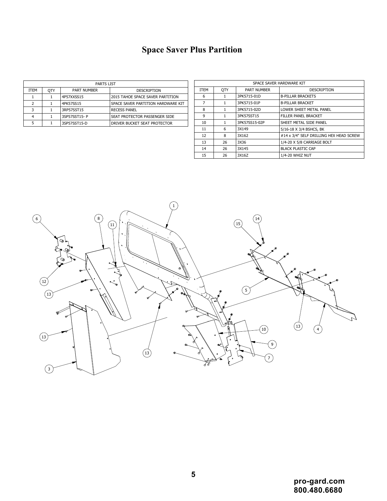# **Space Saver Plus Partition**

| <b>PARTS LIST</b> |            |                    |                                    |  |  |  |  |  |  |
|-------------------|------------|--------------------|------------------------------------|--|--|--|--|--|--|
| <b>ITEM</b>       | <b>OTY</b> | <b>PART NUMBER</b> | <b>DESCRIPTION</b>                 |  |  |  |  |  |  |
|                   |            | 4P57XXSS15         | 2015 TAHOE SPACE SAVER PARTITION   |  |  |  |  |  |  |
| $\mathcal{P}$     |            | 4PK57SS15          | SPACE SAVER PARTITION HARDWARE KIT |  |  |  |  |  |  |
| २                 |            | 3RP57SST15         | <b>RECESS PANEL</b>                |  |  |  |  |  |  |
| 4                 |            | 3SP57SST15-P       | SEAT PROTECTOR PASSENGER SIDE      |  |  |  |  |  |  |
| 5                 |            | 3SP57SST15-D       | DRIVER BUCKET SEAT PROTECTOR       |  |  |  |  |  |  |

| <b>PARTS LIST</b> |            |                    |                                    |      | SPACE SAVER HARDWARE KIT |                    |                                                |  |
|-------------------|------------|--------------------|------------------------------------|------|--------------------------|--------------------|------------------------------------------------|--|
| ITEM              | <b>OTY</b> | <b>PART NUMBER</b> | DESCRIPTION                        | ITEM | <b>OTY</b>               | <b>PART NUMBER</b> | <b>DESCRIPTION</b>                             |  |
|                   |            | 4P57XXSS15         | 2015 TAHOE SPACE SAVER PARTITION   |      |                          | 3PK5715-01D        | <b>B-PILLAR BRACKETS</b>                       |  |
|                   |            | 4PK57SS15          | SPACE SAVER PARTITION HARDWARE KIT |      |                          | 3PK5715-01P        | <b>B-PILLAR BRACKET</b>                        |  |
|                   |            | 3RP57SST15         | <b>RECESS PANEL</b>                | 8    |                          | 3PK5715-02D        | LOWER SHEET METAL PANEL                        |  |
|                   |            | 3SP57SST15-P       | SEAT PROTECTOR PASSENGER SIDE      |      |                          | 3PK57SST15         | <b>FILLER PANEL BRACKET</b>                    |  |
|                   |            | 3SP57SST15-D       | DRIVER BUCKET SEAT PROTECTOR       | 10   |                          | 3PK57SS15-02P      | <b>SHEET METAL SIDE PANEL</b>                  |  |
|                   |            |                    |                                    | 11   |                          | 3X149              | 5/16-18 X 3/4 BSHCS, BK                        |  |
|                   |            |                    |                                    | 12   | õ                        | 3X162              | $\mid$ #14 x 3/4" SELF DRILLING HEX HEAD SCREW |  |
|                   |            |                    |                                    | 13   | 26                       | 3X36               | 1/4-20 X 5/8 CARRIAGE BOLT                     |  |
|                   |            |                    |                                    | 14   | 26                       | 3X145              | <b>BLACK PLASTIC CAP</b>                       |  |
|                   |            |                    |                                    | 15   | 26                       | 3X16Z              | 1/4-20 WHIZ NUT                                |  |

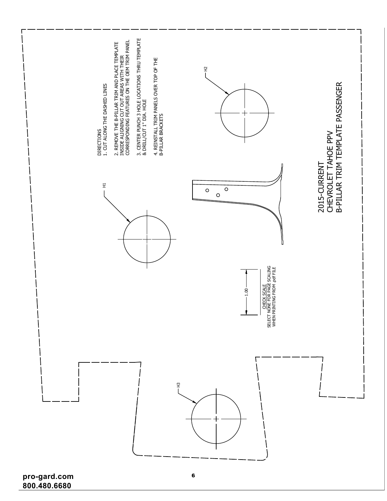

**pro-gard.com 800.480.6680**